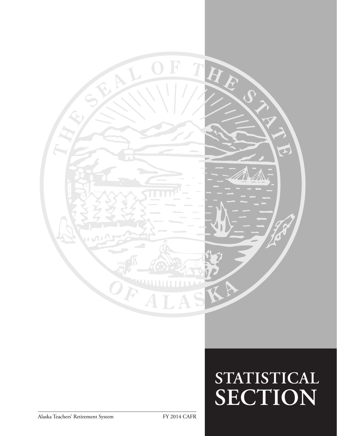

# **STATISTICAL SECTION**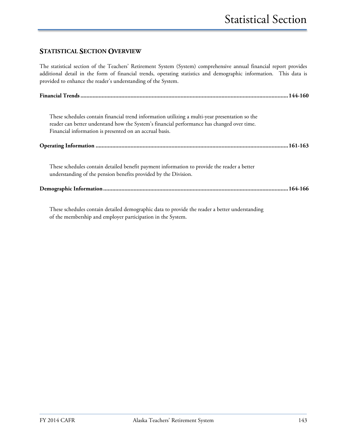#### **STATISTICAL SECTION OVERVIEW**

The statistical section of the Teachers' Retirement System (System) comprehensive annual financial report provides additional detail in the form of financial trends, operating statistics and demographic information. This data is provided to enhance the reader's understanding of the System.

| These schedules contain financial trend information utilizing a multi-year presentation so the<br>reader can better understand how the System's financial performance has changed over time.<br>Financial information is presented on an accrual basis. |  |
|---------------------------------------------------------------------------------------------------------------------------------------------------------------------------------------------------------------------------------------------------------|--|
|                                                                                                                                                                                                                                                         |  |
| These schedules contain detailed benefit payment information to provide the reader a better<br>understanding of the pension benefits provided by the Division.                                                                                          |  |
|                                                                                                                                                                                                                                                         |  |

These schedules contain detailed demographic data to provide the reader a better understanding of the membership and employer participation in the System.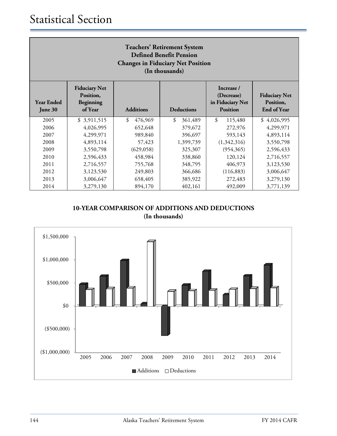| <b>Teachers' Retirement System</b><br><b>Defined Benefit Pension</b><br><b>Changes in Fiduciary Net Position</b><br>(In thousands) |                                                                                                                                                                                                                                  |               |               |               |             |  |
|------------------------------------------------------------------------------------------------------------------------------------|----------------------------------------------------------------------------------------------------------------------------------------------------------------------------------------------------------------------------------|---------------|---------------|---------------|-------------|--|
| <b>Year Ended</b><br>June 30                                                                                                       | <b>Fiduciary Net</b><br>Increase /<br><b>Fiduciary Net</b><br>Position,<br>(Decrease)<br>in Fiduciary Net<br>Position,<br>Beginning<br><b>Additions</b><br>of Year<br><b>Deductions</b><br><b>End of Year</b><br><b>Position</b> |               |               |               |             |  |
| 2005                                                                                                                               | \$3,911,515                                                                                                                                                                                                                      | \$<br>476,969 | \$<br>361,489 | \$<br>115,480 | \$4,026,995 |  |
| 2006                                                                                                                               | 4,026,995                                                                                                                                                                                                                        | 652,648       | 379,672       | 272,976       | 4,299,971   |  |
| 2007                                                                                                                               | 4,299,971                                                                                                                                                                                                                        | 989,840       | 396,697       | 593,143       | 4,893,114   |  |
| 2008                                                                                                                               | 4,893,114                                                                                                                                                                                                                        | 57,423        | 1,399,739     | (1,342,316)   | 3,550,798   |  |
| 2009                                                                                                                               | 3,550,798                                                                                                                                                                                                                        | (629, 058)    | 325,307       | (954,365)     | 2,596,433   |  |
| 2010                                                                                                                               | 2,596,433                                                                                                                                                                                                                        | 458,984       | 338,860       | 120,124       | 2,716,557   |  |
| 2011                                                                                                                               | 2,716,557                                                                                                                                                                                                                        | 755,768       | 348,795       | 406,973       | 3,123,530   |  |
| 2012                                                                                                                               | 3,123,530                                                                                                                                                                                                                        | 249,803       | 366,686       | (116, 883)    | 3,006,647   |  |
| 2013                                                                                                                               | 3,006,647                                                                                                                                                                                                                        | 658,405       | 385,922       | 272,483       | 3,279,130   |  |
| 2014                                                                                                                               | 3,279,130                                                                                                                                                                                                                        | 894,170       | 402,161       | 492,009       | 3,771,139   |  |

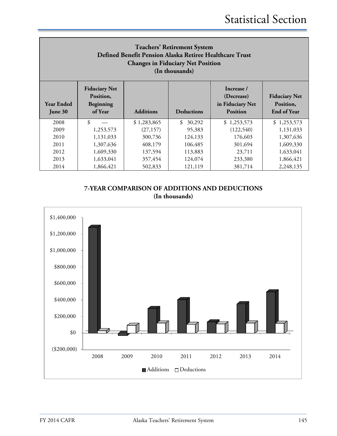| <b>Teachers' Retirement System</b><br>Defined Benefit Pension Alaska Retiree Healthcare Trust<br><b>Changes in Fiduciary Net Position</b><br>(In thousands) |                                                           |                  |                   |                                                                 |                                                         |  |  |
|-------------------------------------------------------------------------------------------------------------------------------------------------------------|-----------------------------------------------------------|------------------|-------------------|-----------------------------------------------------------------|---------------------------------------------------------|--|--|
| <b>Year Ended</b><br>June 30                                                                                                                                | <b>Fiduciary Net</b><br>Position,<br>Beginning<br>of Year | <b>Additions</b> | <b>Deductions</b> | Increase /<br>(Decrease)<br>in Fiduciary Net<br><b>Position</b> | <b>Fiduciary Net</b><br>Position,<br><b>End of Year</b> |  |  |
| 2008                                                                                                                                                        | \$                                                        | \$1,283,865      | \$<br>30,292      | \$1,253,573                                                     | \$1,253,573                                             |  |  |
| 2009                                                                                                                                                        | 1,253,573                                                 | (27, 157)        | 95,383            | (122, 540)                                                      | 1,131,033                                               |  |  |
| 2010                                                                                                                                                        | 1,131,033                                                 | 300,736          | 124,133           | 176,603                                                         | 1,307,636                                               |  |  |
| 2011                                                                                                                                                        | 1,307,636                                                 | 408,179          | 106,485           | 301,694                                                         | 1,609,330                                               |  |  |
| 2012                                                                                                                                                        | 1,609,330                                                 | 137,594          | 113,883           | 23,711                                                          | 1,633,041                                               |  |  |
| 2013                                                                                                                                                        | 1,633,041                                                 | 357,454          | 124,074           | 233,380                                                         | 1,866,421                                               |  |  |
| 2014                                                                                                                                                        | 1,866,421                                                 | 502,833          | 121,119           | 381,714                                                         | 2,248,135                                               |  |  |

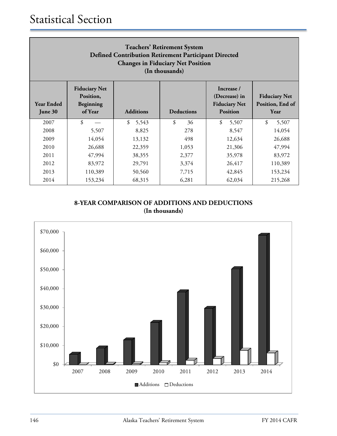| <b>Teachers' Retirement System</b><br>Defined Contribution Retirement Participant Directed<br><b>Changes in Fiduciary Net Position</b><br>(In thousands) |                                                           |                  |                   |                                                                        |                                                  |  |  |
|----------------------------------------------------------------------------------------------------------------------------------------------------------|-----------------------------------------------------------|------------------|-------------------|------------------------------------------------------------------------|--------------------------------------------------|--|--|
| <b>Year Ended</b><br>June 30                                                                                                                             | <b>Fiduciary Net</b><br>Position,<br>Beginning<br>of Year | <b>Additions</b> | <b>Deductions</b> | Increase /<br>(Decrease) in<br><b>Fiduciary Net</b><br><b>Position</b> | <b>Fiduciary Net</b><br>Position, End of<br>Year |  |  |
| 2007                                                                                                                                                     | \$                                                        | \$<br>5,543      | \$<br>36          | \$<br>5,507                                                            | \$<br>5,507                                      |  |  |
| 2008                                                                                                                                                     | 5,507                                                     | 8,825            | 278               | 8,547                                                                  | 14,054                                           |  |  |
| 2009                                                                                                                                                     | 14,054                                                    | 13,132           | 498               | 12,634                                                                 | 26,688                                           |  |  |
| 2010                                                                                                                                                     | 26,688                                                    | 22,359           | 1,053             | 21,306                                                                 | 47,994                                           |  |  |
| 2011                                                                                                                                                     | 47,994                                                    | 38,355           | 2,377             | 35,978                                                                 | 83,972                                           |  |  |
| 2012                                                                                                                                                     | 83,972                                                    | 29,791           | 3,374             | 26,417                                                                 | 110,389                                          |  |  |
| 2013                                                                                                                                                     | 110,389                                                   | 50,560           | 7,715             | 42,845                                                                 | 153,234                                          |  |  |
| 2014                                                                                                                                                     | 153,234                                                   | 68,315           | 6,281             | 62,034                                                                 | 215,268                                          |  |  |

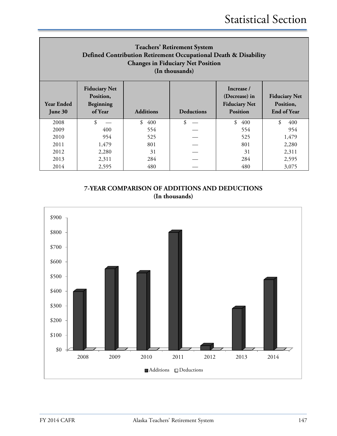| <b>Teachers' Retirement System</b><br>Defined Contribution Retirement Occupational Death & Disability<br><b>Changes in Fiduciary Net Position</b><br>(In thousands) |                                                           |                  |                   |                                                                        |                                                         |  |
|---------------------------------------------------------------------------------------------------------------------------------------------------------------------|-----------------------------------------------------------|------------------|-------------------|------------------------------------------------------------------------|---------------------------------------------------------|--|
| <b>Year Ended</b><br>June 30                                                                                                                                        | <b>Fiduciary Net</b><br>Position,<br>Beginning<br>of Year | <b>Additions</b> | <b>Deductions</b> | Increase /<br>(Decrease) in<br><b>Fiduciary Net</b><br><b>Position</b> | <b>Fiduciary Net</b><br>Position,<br><b>End of Year</b> |  |
| 2008                                                                                                                                                                | \$                                                        | \$<br>400        | \$                | \$<br>400                                                              | $\boldsymbol{\hat{\mathbf{x}}}$<br>400                  |  |
| 2009                                                                                                                                                                | 400                                                       | 554              |                   | 554                                                                    | 954                                                     |  |
| 2010                                                                                                                                                                | 954                                                       | 525              |                   | 525                                                                    | 1,479                                                   |  |
| 2011                                                                                                                                                                | 1,479                                                     | 801              |                   | 801                                                                    | 2,280                                                   |  |
| 2012                                                                                                                                                                | 2,280                                                     | 31               |                   | 31                                                                     | 2,311                                                   |  |
| 2013                                                                                                                                                                | 2,311                                                     | 284              |                   | 284                                                                    | 2,595                                                   |  |
| 2014                                                                                                                                                                | 2,595                                                     | 480              |                   | 480                                                                    | 3,075                                                   |  |

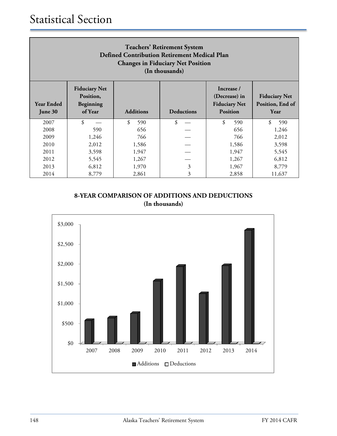| <b>Teachers' Retirement System</b><br><b>Defined Contribution Retirement Medical Plan</b><br><b>Changes in Fiduciary Net Position</b><br>(In thousands) |                                                           |                         |                   |                                                                        |                                                  |  |  |  |
|---------------------------------------------------------------------------------------------------------------------------------------------------------|-----------------------------------------------------------|-------------------------|-------------------|------------------------------------------------------------------------|--------------------------------------------------|--|--|--|
| <b>Year Ended</b><br>June 30                                                                                                                            | <b>Fiduciary Net</b><br>Position,<br>Beginning<br>of Year | <b>Additions</b>        | <b>Deductions</b> | Increase /<br>(Decrease) in<br><b>Fiduciary Net</b><br><b>Position</b> | <b>Fiduciary Net</b><br>Position, End of<br>Year |  |  |  |
| 2007                                                                                                                                                    | \$                                                        | \$<br>590               | \$                | \$<br>590                                                              | \$<br>590                                        |  |  |  |
| 2008                                                                                                                                                    | 590                                                       | 656                     |                   | 656                                                                    | 1,246                                            |  |  |  |
| 2009                                                                                                                                                    | 1,246                                                     | 766                     |                   | 766                                                                    | 2,012                                            |  |  |  |
| 2010                                                                                                                                                    | 2,012                                                     | 1,586                   |                   | 1,586                                                                  | 3,598                                            |  |  |  |
| 2011                                                                                                                                                    | 3,598                                                     | 1,947                   |                   | 1,947                                                                  | 5,545                                            |  |  |  |
| 2012                                                                                                                                                    | 5,545                                                     | 1,267<br>6,812<br>1,267 |                   |                                                                        |                                                  |  |  |  |
| 2013                                                                                                                                                    | 6,812                                                     | 1,970                   | 3                 | 1,967                                                                  | 8,779                                            |  |  |  |
| 2014                                                                                                                                                    | 8,779                                                     | 2,861                   | 3                 | 2,858                                                                  | 11,637                                           |  |  |  |

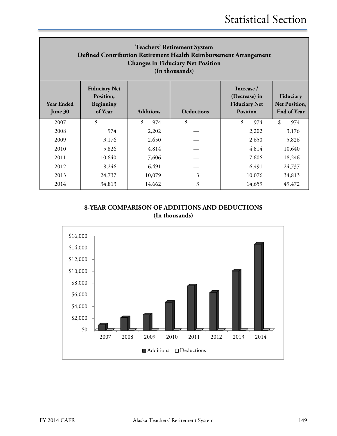| <b>Teachers' Retirement System</b><br>Defined Contribution Retirement Health Reimbursement Arrangement<br><b>Changes in Fiduciary Net Position</b><br>(In thousands) |                                                           |                  |                   |                                                                        |                                                         |  |  |
|----------------------------------------------------------------------------------------------------------------------------------------------------------------------|-----------------------------------------------------------|------------------|-------------------|------------------------------------------------------------------------|---------------------------------------------------------|--|--|
| <b>Year Ended</b><br>June 30                                                                                                                                         | <b>Fiduciary Net</b><br>Position,<br>Beginning<br>of Year | <b>Additions</b> | <b>Deductions</b> | Increase /<br>(Decrease) in<br><b>Fiduciary Net</b><br><b>Position</b> | Fiduciary<br><b>Net Position,</b><br><b>End of Year</b> |  |  |
| 2007                                                                                                                                                                 | \$                                                        | \$<br>974        | $\mathcal{S}$     | \$<br>974                                                              | $\mathcal{S}$<br>974                                    |  |  |
| 2008                                                                                                                                                                 | 974                                                       | 2,202            |                   | 2,202                                                                  | 3,176                                                   |  |  |
| 2009                                                                                                                                                                 | 3,176                                                     | 2,650            |                   | 2,650                                                                  | 5,826                                                   |  |  |
| 2010                                                                                                                                                                 | 5,826                                                     | 4,814            |                   | 4,814                                                                  | 10,640                                                  |  |  |
| 2011                                                                                                                                                                 | 10,640                                                    | 7,606            |                   | 7,606                                                                  | 18,246                                                  |  |  |
| 2012                                                                                                                                                                 | 18,246                                                    | 6,491            |                   | 6,491                                                                  | 24,737                                                  |  |  |
| 2013                                                                                                                                                                 | 24,737                                                    | 10,079           | 3                 | 10,076                                                                 | 34,813                                                  |  |  |
| 2014                                                                                                                                                                 | 34,813                                                    | 14,662           | 3                 | 14,659                                                                 | 49,472                                                  |  |  |

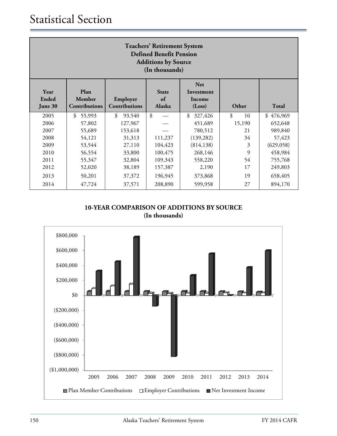| <b>Teachers' Retirement System</b><br><b>Defined Benefit Pension</b><br><b>Additions by Source</b><br>(In thousands) |                                 |                                  |                              |                                              |          |            |  |
|----------------------------------------------------------------------------------------------------------------------|---------------------------------|----------------------------------|------------------------------|----------------------------------------------|----------|------------|--|
| Year<br>Ended<br>June 30                                                                                             | Plan<br>Member<br>Contributions | Employer<br><b>Contributions</b> | <b>State</b><br>of<br>Alaska | <b>Net</b><br>Investment<br>Income<br>(Loss) | Other    | Total      |  |
| 2005                                                                                                                 | 55,993<br>\$                    | \$<br>93,540                     | \$                           | 327,426<br>\$                                | \$<br>10 | \$476,969  |  |
| 2006                                                                                                                 | 57,802                          | 127,967                          |                              | 451,689                                      | 15,190   | 652,648    |  |
| 2007                                                                                                                 | 55,689                          | 153,618                          |                              | 780,512                                      | 21       | 989,840    |  |
| 2008                                                                                                                 | 54,121                          | 31,313                           | 111,237                      | (139, 282)                                   | 34       | 57,423     |  |
| 2009                                                                                                                 | 53,544                          | 27,110                           | 104,423                      | (814, 138)                                   | 3        | (629, 058) |  |
| 2010                                                                                                                 | 56,554                          | 33,800                           | 100,475                      | 268,146                                      | 9        | 458,984    |  |
| 2011                                                                                                                 | 55,347                          | 32,804                           | 109,343                      | 558,220                                      | 54       | 755,768    |  |
| 2012                                                                                                                 | 52,020                          | 38,189                           | 157,387                      | 2,190                                        | 17       | 249,803    |  |
| 2013                                                                                                                 | 50,201                          | 37,372                           | 196,945                      | 373,868                                      | 19       | 658,405    |  |
| 2014                                                                                                                 | 47,724                          | 37,571                           | 208,890                      | 599,958                                      | 27       | 894,170    |  |

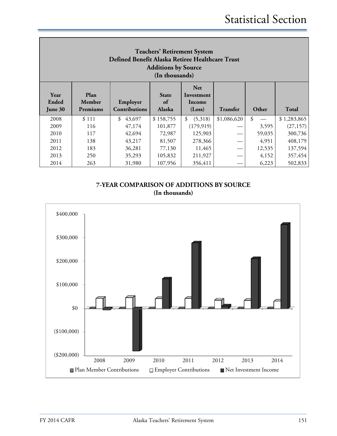| <b>Teachers' Retirement System</b><br>Defined Benefit Alaska Retiree Healthcare Trust<br><b>Additions by Source</b><br>(In thousands) |                            |                                  |                                     |                                              |                 |        |              |
|---------------------------------------------------------------------------------------------------------------------------------------|----------------------------|----------------------------------|-------------------------------------|----------------------------------------------|-----------------|--------|--------------|
| Year<br>Ended<br>June 30                                                                                                              | Plan<br>Member<br>Premiums | Employer<br><b>Contributions</b> | <b>State</b><br>of<br><b>Alaska</b> | <b>Net</b><br>Investment<br>Income<br>(Loss) | <b>Transfer</b> | Other  | <b>Total</b> |
| 2008                                                                                                                                  | \$111                      | \$<br>43,697                     | \$158,755                           | \$<br>(5,318)                                | \$1,086,620     | \$     | \$1,283,865  |
| 2009                                                                                                                                  | 116                        | 47,174                           | 101,877                             | (179, 919)                                   |                 | 3,595  | (27, 157)    |
| 2010                                                                                                                                  | 117                        | 42,694                           | 72,987                              | 125,903                                      |                 | 59,035 | 300,736      |
| 2011                                                                                                                                  | 138                        | 43,217                           | 81,507                              | 278,366                                      |                 | 4,951  | 408,179      |
| 2012                                                                                                                                  | 183                        | 36,281                           | 77,130                              | 11,465                                       |                 | 12,535 | 137,594      |
| 2013                                                                                                                                  | 250                        | 35,293                           | 105,832                             | 211,927                                      |                 | 4,152  | 357,454      |
| 2014                                                                                                                                  | 263                        | 31,980                           | 107,956                             | 356,411                                      |                 | 6,223  | 502,833      |

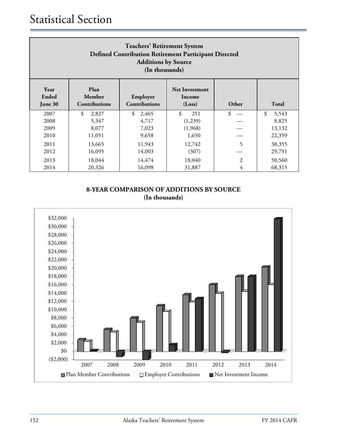| <b>Teachers' Retirement System</b><br><b>Defined Contribution Retirement Participant Directed</b><br><b>Additions by Source</b><br>(In thousands)       |             |             |           |                |             |  |
|---------------------------------------------------------------------------------------------------------------------------------------------------------|-------------|-------------|-----------|----------------|-------------|--|
| Plan<br>Year<br><b>Net Investment</b><br>Ended<br>Member<br>Employer<br>Income<br>Contributions<br>Total<br>Contributions<br>Other<br>(Loss)<br>June 30 |             |             |           |                |             |  |
| 2007                                                                                                                                                    | \$<br>2,827 | 2,465<br>\$ | \$<br>251 | \$             | \$<br>5,543 |  |
| 2008                                                                                                                                                    | 5,347       | 4,717       | (1,239)   |                | 8,825       |  |
| 2009                                                                                                                                                    | 8,077       | 7,023       | (1,968)   |                | 13,132      |  |
| 2010                                                                                                                                                    | 11,051      | 9,658       | 1,650     |                | 22,359      |  |
| 2011                                                                                                                                                    | 13,665      | 11,943      | 12,742    | 5              | 38,355      |  |
| 2012                                                                                                                                                    | 16,095      | 14,003      | (307)     |                | 29,791      |  |
| 2013                                                                                                                                                    | 18,044      | 14,474      | 18,040    | $\overline{2}$ | 50,560      |  |
| 2014                                                                                                                                                    | 20,326      | 16,098      | 31,887    | 4              | 68,315      |  |

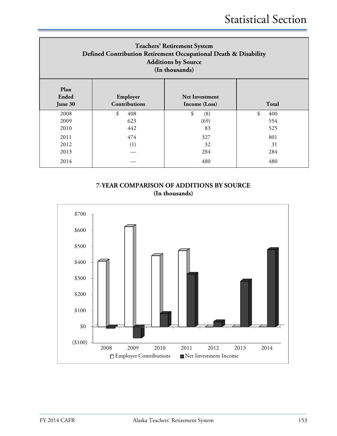| <b>Teachers' Retirement System</b><br>Defined Contribution Retirement Occupational Death & Disability<br><b>Additions by Source</b><br>(In thousands) |                                  |                                        |           |  |  |  |
|-------------------------------------------------------------------------------------------------------------------------------------------------------|----------------------------------|----------------------------------------|-----------|--|--|--|
| Plan<br>Ended<br>June 30                                                                                                                              | Employer<br><b>Contributions</b> | <b>Net Investment</b><br>Income (Loss) | Total     |  |  |  |
| 2008                                                                                                                                                  | \$<br>408                        | \$<br>(8)                              | \$<br>400 |  |  |  |
| 2009                                                                                                                                                  | 623                              | (69)                                   | 554       |  |  |  |
| 2010                                                                                                                                                  | 442                              | 83                                     | 525       |  |  |  |
| 2011                                                                                                                                                  | 474                              | 327                                    | 801       |  |  |  |
| 2012                                                                                                                                                  | (1)                              | 32                                     | 31        |  |  |  |
| 2013                                                                                                                                                  |                                  | 284                                    | 284       |  |  |  |
| 2014                                                                                                                                                  |                                  | 480                                    | 480       |  |  |  |

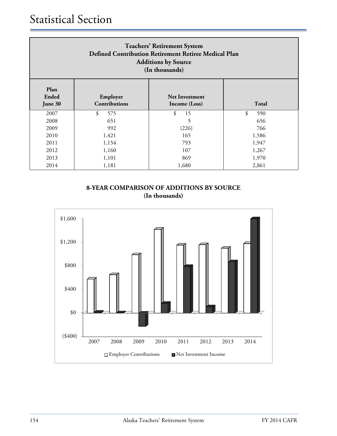| <b>Teachers' Retirement System</b><br>Defined Contribution Retirement Retiree Medical Plan<br><b>Additions by Source</b><br>(In thousands) |           |          |           |  |  |  |  |
|--------------------------------------------------------------------------------------------------------------------------------------------|-----------|----------|-----------|--|--|--|--|
| Plan<br>Ended<br>Employer<br><b>Net Investment</b><br><b>Contributions</b><br><b>Total</b><br>June 30<br>Income (Loss)                     |           |          |           |  |  |  |  |
| 2007                                                                                                                                       | \$<br>575 | \$<br>15 | \$<br>590 |  |  |  |  |
| 2008                                                                                                                                       | 651       | 5        | 656       |  |  |  |  |
| 2009                                                                                                                                       | 992       | (226)    | 766       |  |  |  |  |
| 2010                                                                                                                                       | 1,421     | 165      | 1,586     |  |  |  |  |
| 2011                                                                                                                                       | 1,154     | 793      | 1,947     |  |  |  |  |
| 2012                                                                                                                                       | 1,160     | 107      | 1,267     |  |  |  |  |
| 2013                                                                                                                                       | 1,101     | 869      | 1,970     |  |  |  |  |
| 2014                                                                                                                                       | 1,181     | 1,680    | 2,861     |  |  |  |  |

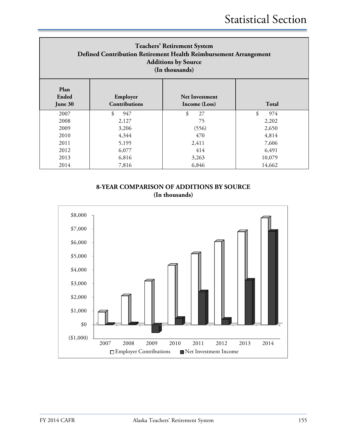| <b>Teachers' Retirement System</b><br>Defined Contribution Retirement Health Reimbursement Arrangement<br><b>Additions by Source</b><br>(In thousands) |                                  |                                        |           |  |  |  |
|--------------------------------------------------------------------------------------------------------------------------------------------------------|----------------------------------|----------------------------------------|-----------|--|--|--|
| Plan<br>Ended<br>June 30                                                                                                                               | Employer<br><b>Contributions</b> | <b>Net Investment</b><br>Income (Loss) | Total     |  |  |  |
| 2007                                                                                                                                                   | \$<br>947                        | \$<br>27                               | \$<br>974 |  |  |  |
| 2008                                                                                                                                                   | 2,127                            | 75                                     | 2,202     |  |  |  |
| 2009                                                                                                                                                   | 3,206                            | (556)                                  | 2,650     |  |  |  |
| 2010                                                                                                                                                   | 4,344                            | 470                                    | 4,814     |  |  |  |
| 2011                                                                                                                                                   | 5,195                            | 2,411                                  | 7,606     |  |  |  |
| 2012                                                                                                                                                   | 6,077                            | 414                                    | 6,491     |  |  |  |
| 2013                                                                                                                                                   | 6,816                            | 3,263                                  | 10,079    |  |  |  |
| 2014                                                                                                                                                   | 7,816                            | 6,846                                  | 14,662    |  |  |  |

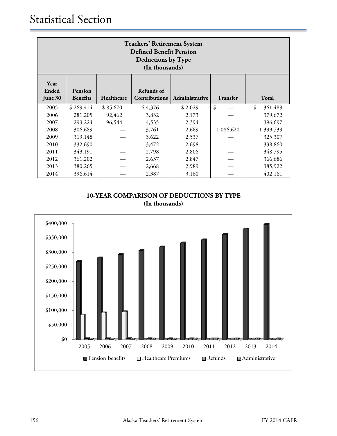| <b>Teachers' Retirement System</b><br><b>Defined Benefit Pension</b><br><b>Deductions by Type</b><br>(In thousands) |                            |            |                             |                |           |               |
|---------------------------------------------------------------------------------------------------------------------|----------------------------|------------|-----------------------------|----------------|-----------|---------------|
| Year<br>Ended<br>June 30                                                                                            | Pension<br><b>Benefits</b> | Healthcare | Refunds of<br>Contributions | Administrative | Transfer  | Total         |
| 2005                                                                                                                | \$269,414                  | \$85,670   | \$4,376                     | \$2,029        | \$        | \$<br>361,489 |
| 2006                                                                                                                | 281,205                    | 92,462     | 3,832                       | 2,173          |           | 379,672       |
| 2007                                                                                                                | 293,224                    | 96,544     | 4,535                       | 2,394          |           | 396,697       |
| 2008                                                                                                                | 306,689                    |            | 3,761                       | 2,669          | 1,086,620 | 1,399,739     |
| 2009                                                                                                                | 319,148                    |            | 3,622                       | 2,537          |           | 325,307       |
| 2010                                                                                                                | 332,690                    |            | 3,472                       | 2,698          |           | 338,860       |
| 2011                                                                                                                | 343,191                    |            | 2,798                       | 2,806          |           | 348,795       |
| 2012                                                                                                                | 361,202                    |            | 2,637                       | 2,847          |           | 366,686       |
| 2013                                                                                                                | 380,265                    |            | 2,668                       | 2,989          |           | 385,922       |
| 2014                                                                                                                | 396,614                    |            | 2,387                       | 3,160          |           | 402,161       |

**10-YEAR COMPARISON OF DEDUCTIONS BY TYPE (In thousands)** 

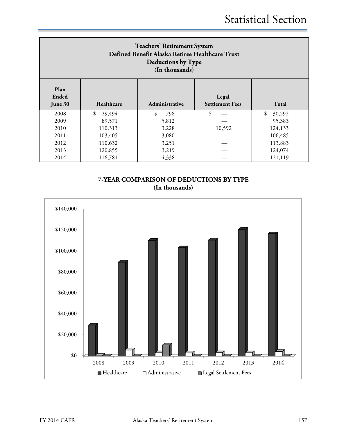| <b>Teachers' Retirement System</b><br>Defined Benefit Alaska Retiree Healthcare Trust<br>Deductions by Type<br>(In thousands) |              |                |                                 |              |  |
|-------------------------------------------------------------------------------------------------------------------------------|--------------|----------------|---------------------------------|--------------|--|
| Plan<br><b>Ended</b><br>June 30                                                                                               | Healthcare   | Administrative | Legal<br><b>Settlement Fees</b> | Total        |  |
| 2008                                                                                                                          | \$<br>29,494 | \$<br>798      | \$                              | \$<br>30,292 |  |
| 2009                                                                                                                          | 89,571       | 5,812          |                                 | 95,383       |  |
| 2010                                                                                                                          | 110,313      | 3,228          | 10,592                          | 124,133      |  |
| 2011                                                                                                                          | 103,405      | 3,080          |                                 | 106,485      |  |
| 2012                                                                                                                          | 110,632      | 3,251          |                                 | 113,883      |  |
| 2013                                                                                                                          | 120,855      | 3,219          |                                 | 124,074      |  |
| 2014                                                                                                                          | 116,781      | 4,338          |                                 | 121,119      |  |



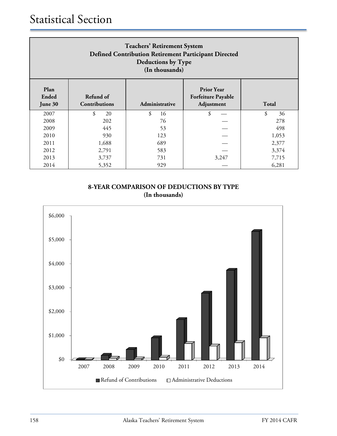| <b>Teachers' Retirement System</b><br>Defined Contribution Retirement Participant Directed<br>Deductions by Type<br>(In thousands)                       |          |          |       |          |  |  |
|----------------------------------------------------------------------------------------------------------------------------------------------------------|----------|----------|-------|----------|--|--|
| Plan<br><b>Prior Year</b><br>Refund of<br>Ended<br><b>Forfeiture Payable</b><br>Adjustment<br><b>Contributions</b><br>Total<br>Administrative<br>June 30 |          |          |       |          |  |  |
| 2007                                                                                                                                                     | \$<br>20 | \$<br>16 | \$    | \$<br>36 |  |  |
| 2008                                                                                                                                                     | 202      | 76       |       | 278      |  |  |
| 2009                                                                                                                                                     | 445      | 53       |       | 498      |  |  |
| 2010                                                                                                                                                     | 930      | 123      |       | 1,053    |  |  |
| 2011                                                                                                                                                     | 1,688    | 689      |       | 2,377    |  |  |
| 2012                                                                                                                                                     | 2,791    | 583      |       | 3,374    |  |  |
| 2013                                                                                                                                                     | 3,737    | 731      | 3,247 | 7,715    |  |  |
| 2014                                                                                                                                                     | 5,352    | 929      |       | 6,281    |  |  |

# **8-YEAR COMPARISON OF DEDUCTIONS BY TYPE (In thousands)**

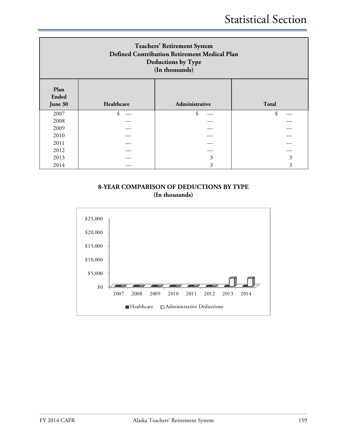| <b>Teachers' Retirement System</b><br>Defined Contribution Retirement Medical Plan<br><b>Deductions by Type</b><br>(In thousands) |            |                |              |  |  |
|-----------------------------------------------------------------------------------------------------------------------------------|------------|----------------|--------------|--|--|
| Plan<br><b>Ended</b><br>June 30                                                                                                   | Healthcare | Administrative | <b>Total</b> |  |  |
| 2007                                                                                                                              |            | \$             | \$           |  |  |
| 2008                                                                                                                              |            |                |              |  |  |
| 2009                                                                                                                              |            |                |              |  |  |
| 2010                                                                                                                              |            |                |              |  |  |
| 2011                                                                                                                              |            |                |              |  |  |
| 2012                                                                                                                              |            |                |              |  |  |
| 2013                                                                                                                              |            | 3              | 3            |  |  |
| 2014                                                                                                                              |            | 3              | 3            |  |  |

#### **8-YEAR COMPARISON OF DEDUCTIONS BY TYPE (In thousands)**

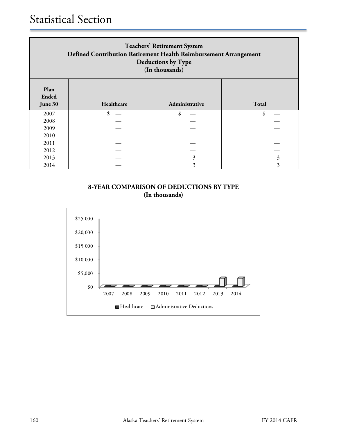| <b>Teachers' Retirement System</b><br>Defined Contribution Retirement Health Reimbursement Arrangement<br><b>Deductions by Type</b><br>(In thousands) |  |   |   |  |  |  |
|-------------------------------------------------------------------------------------------------------------------------------------------------------|--|---|---|--|--|--|
| Plan<br><b>Ended</b><br>Healthcare<br>Administrative<br>Total<br>June 30                                                                              |  |   |   |  |  |  |
| 2007                                                                                                                                                  |  |   |   |  |  |  |
| 2008                                                                                                                                                  |  |   |   |  |  |  |
| 2009                                                                                                                                                  |  |   |   |  |  |  |
| 2010                                                                                                                                                  |  |   |   |  |  |  |
| 2011                                                                                                                                                  |  |   |   |  |  |  |
| 2012                                                                                                                                                  |  |   |   |  |  |  |
| 2013                                                                                                                                                  |  | 3 | 3 |  |  |  |
| 2014                                                                                                                                                  |  | 3 | 3 |  |  |  |

# **8-YEAR COMPARISON OF DEDUCTIONS BY TYPE (In thousands)**

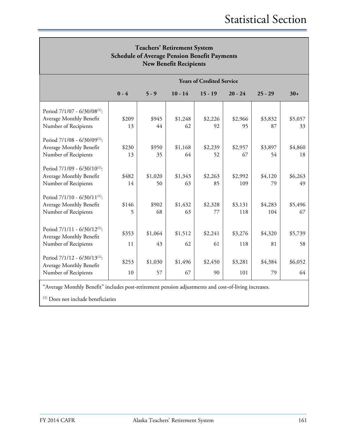| <b>Teachers' Retirement System</b><br><b>Schedule of Average Pension Benefit Payments</b><br><b>New Benefit Recipients</b> |             |                                  |               |               |                |                |               |  |
|----------------------------------------------------------------------------------------------------------------------------|-------------|----------------------------------|---------------|---------------|----------------|----------------|---------------|--|
|                                                                                                                            |             | <b>Years of Credited Service</b> |               |               |                |                |               |  |
|                                                                                                                            | $0 - 4$     | $5 - 9$                          | $10 - 14$     | $15 - 19$     | $20 - 24$      | $25 - 29$      | $30+$         |  |
| Period 7/1/07 - 6/30/08 <sup>(1)</sup> :<br>Average Monthly Benefit<br>Number of Recipients                                | \$209<br>13 | \$945<br>44                      | \$1,248<br>62 | \$2,226<br>92 | \$2,966<br>95  | \$3,832<br>87  | \$5,057<br>33 |  |
| Period 7/1/08 - 6/30/09 <sup>(1)</sup> :<br>Average Monthly Benefit<br>Number of Recipients                                | \$230<br>13 | \$950<br>35                      | \$1,168<br>64 | \$2,239<br>52 | \$2,957<br>67  | \$3,897<br>54  | \$4,860<br>18 |  |
| Period 7/1/09 - 6/30/10 <sup>(1)</sup> :<br>Average Monthly Benefit<br>Number of Recipients                                | \$482<br>14 | \$1,020<br>50                    | \$1,343<br>63 | \$2,263<br>85 | \$2,992<br>109 | \$4,120<br>79  | \$6,263<br>49 |  |
| Period 7/1/10 - 6/30/11(1):<br>Average Monthly Benefit<br>Number of Recipients                                             | \$146<br>5  | \$902<br>68                      | \$1,432<br>63 | \$2,328<br>77 | \$3,131<br>118 | \$4,283<br>104 | \$5,496<br>67 |  |
| Period $7/1/11 - 6/30/12^{(1)}$ :<br>Average Monthly Benefit<br>Number of Recipients                                       | \$353<br>11 | \$1,064<br>43                    | \$1,512<br>62 | \$2,241<br>61 | \$3,276<br>118 | \$4,320<br>81  | \$5,739<br>58 |  |
| Period 7/1/12 - 6/30/13 <sup>(1)</sup> :<br>Average Monthly Benefit<br>Number of Recipients                                | \$253<br>10 | \$1,030<br>57                    | \$1,496<br>67 | \$2,450<br>90 | \$3,281<br>101 | \$4,384<br>79  | \$6,052<br>64 |  |

"Average Monthly Benefit" includes post-retirement pension adjustments and cost-of-living increases.

(1) Does not include beneficiaries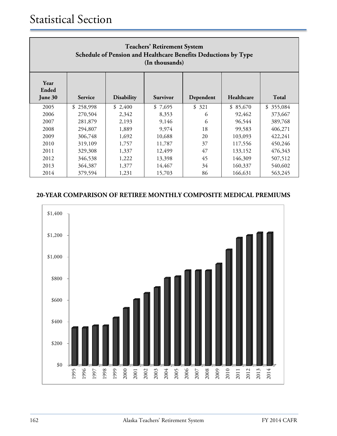| <b>Teachers' Retirement System</b><br>Schedule of Pension and Healthcare Benefits Deductions by Type<br>(In thousands) |                                                                                                   |         |         |       |          |           |  |  |
|------------------------------------------------------------------------------------------------------------------------|---------------------------------------------------------------------------------------------------|---------|---------|-------|----------|-----------|--|--|
| Year<br>Ended<br>June 30                                                                                               | Healthcare<br><b>Total</b><br><b>Disability</b><br>Dependent<br><b>Survivor</b><br><b>Service</b> |         |         |       |          |           |  |  |
| 2005                                                                                                                   | \$<br>258,998                                                                                     | \$2,400 | \$7,695 | \$321 | \$85,670 | \$355,084 |  |  |
| 2006                                                                                                                   | 270,504                                                                                           | 2,342   | 8,353   | 6     | 92,462   | 373,667   |  |  |
| 2007                                                                                                                   | 281,879                                                                                           | 2,193   | 9,146   | 6     | 96,544   | 389,768   |  |  |
| 2008                                                                                                                   | 294,807                                                                                           | 1,889   | 9,974   | 18    | 99,583   | 406,271   |  |  |
| 2009                                                                                                                   | 306,748                                                                                           | 1,692   | 10,688  | 20    | 103,093  | 422,241   |  |  |
| 2010                                                                                                                   | 319,109                                                                                           | 1,757   | 11,787  | 37    | 117,556  | 450,246   |  |  |
| 2011                                                                                                                   | 329,308                                                                                           | 1,337   | 12,499  | 47    | 133,152  | 476,343   |  |  |
| 2012                                                                                                                   | 346,538                                                                                           | 1,222   | 13,398  | 45    | 146,309  | 507,512   |  |  |
| 2013                                                                                                                   | 364,387                                                                                           | 1,377   | 14,467  | 34    | 160,337  | 540,602   |  |  |
| 2014                                                                                                                   | 379,594                                                                                           | 1,231   | 15,703  | 86    | 166,631  | 563,245   |  |  |

# **20-YEAR COMPARISON OF RETIREE MONTHLY COMPOSITE MEDICAL PREMIUMS**

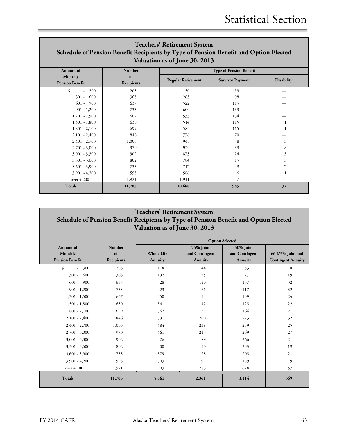# **Teachers' Retirement System Schedule of Pension Benefit Recipients by Type of Pension Benefit and Option Elected Valuation as of June 30, 2013**

| Amount of              | Number     |                           | <b>Type of Pension Benefit</b> |                   |
|------------------------|------------|---------------------------|--------------------------------|-------------------|
| Monthly                | of         | <b>Regular Retirement</b> | <b>Survivor Payment</b>        | <b>Disability</b> |
| <b>Pension Benefit</b> | Recipients |                           |                                |                   |
| \$<br>300<br>$1 -$     | 203        | 150                       | 53                             |                   |
| 600<br>$301 -$         | 363        | 265                       | 98                             |                   |
| $601 -$<br>900         | 637        | 522                       | 115                            |                   |
| $901 - 1,200$          | 733        | 600                       | 133                            |                   |
| $1,201 - 1,500$        | 667        | 533                       | 134                            |                   |
| $1,501 - 1,800$        | 630        | 514                       | 115                            |                   |
| $1,801 - 2,100$        | 699        | 583                       | 115                            |                   |
| $2,101 - 2,400$        | 846        | 776                       | 70                             |                   |
| $2,401 - 2,700$        | 1,006      | 945                       | 58                             | 3                 |
| $2,701 - 3,000$        | 970        | 929                       | 33                             | 8                 |
| $3,001 - 3,300$        | 902        | 873                       | 24                             | 5                 |
| $3,301 - 3,600$        | 802        | 784                       | 15                             | 3                 |
| $3,601 - 3,900$        | 733        | 717                       | 9                              |                   |
| $3,901 - 4,200$        | 593        | 586                       | 6                              |                   |
| over 4,200             | 1,921      | 1,911                     |                                | 3                 |
| <b>Totals</b>          | 11,705     | 10,688                    | 985                            | 32                |

# **Teachers' Retirement System Schedule of Pension Benefit Recipients by Type of Pension Benefit and Option Elected Valuation as of June 30, 2013**

|                        |               | <b>Option Selected</b> |                |                |                           |
|------------------------|---------------|------------------------|----------------|----------------|---------------------------|
| Amount of              | <b>Number</b> |                        | 75% Joint      | 50% Joint      |                           |
| Monthly                | of            | <b>Whole Life</b>      | and Contingent | and Contingent | 66 2/3% Joint and         |
| <b>Pension Benefit</b> | Recipients    | <b>Annuity</b>         | Annuity        | <b>Annuity</b> | <b>Contingent Annuity</b> |
| \$<br>300<br>$1 -$     | 203           | 118                    | 44             | 33             | 8                         |
| 600<br>$301 -$         | 363           | 192                    | 75             | 77             | 19                        |
| 900<br>$601 -$         | 637           | 328                    | 140            | 137            | 32                        |
| $901 - 1,200$          | 733           | 423                    | 161            | 117            | 32                        |
| $1,201 - 1,500$        | 667           | 350                    | 154            | 139            | 24                        |
| $1,501 - 1,800$        | 630           | 341                    | 142            | 125            | 22                        |
| $1,801 - 2,100$        | 699           | 362                    | 152            | 164            | 21                        |
| $2,101 - 2,400$        | 846           | 391                    | 200            | 223            | 32                        |
| $2,401 - 2,700$        | 1,006         | 484                    | 238            | 259            | 25                        |
| $2,701 - 3,000$        | 970           | 461                    | 213            | 269            | 27                        |
| $3,001 - 3,300$        | 902           | 426                    | 189            | 266            | 21                        |
| $3,301 - 3,600$        | 802           | 400                    | 150            | 233            | 19                        |
| $3,601 - 3,900$        | 733           | 379                    | 128            | 205            | 21                        |
| $3,901 - 4,200$        | 593           | 303                    | 92             | 189            | 9                         |
| over 4,200             | 1,921         | 903                    | 283            | 678            | 57                        |
| <b>Totals</b>          | 11,705        | 5,861                  | 2,361          | 3,114          | 369                       |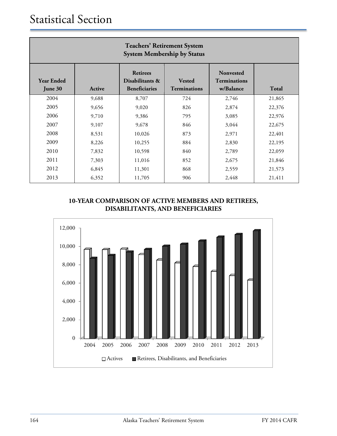| <b>Teachers' Retirement System</b><br><b>System Membership by Status</b> |        |                                                            |                                      |                                                      |              |  |
|--------------------------------------------------------------------------|--------|------------------------------------------------------------|--------------------------------------|------------------------------------------------------|--------------|--|
| <b>Year Ended</b><br>June 30                                             | Active | <b>Retirees</b><br>Disabilitants &<br><b>Beneficiaries</b> | <b>Vested</b><br><b>Terminations</b> | <b>Nonvested</b><br><b>Terminations</b><br>w/Balance | <b>Total</b> |  |
| 2004                                                                     | 9,688  | 8,707                                                      | 724                                  | 2,746                                                | 21,865       |  |
| 2005                                                                     | 9,656  | 9,020                                                      | 826                                  | 2,874                                                | 22,376       |  |
| 2006                                                                     | 9,710  | 9,386                                                      | 795                                  | 3,085                                                | 22,976       |  |
| 2007                                                                     | 9,107  | 9,678                                                      | 846                                  | 3,044                                                | 22,675       |  |
| 2008                                                                     | 8,531  | 10,026                                                     | 873                                  | 2,971                                                | 22,401       |  |
| 2009                                                                     | 8,226  | 10,255                                                     | 884                                  | 2,830                                                | 22,195       |  |
| 2010                                                                     | 7,832  | 10,598                                                     | 840                                  | 2,789                                                | 22,059       |  |
| 2011                                                                     | 7,303  | 11,016                                                     | 852                                  | 2,675                                                | 21,846       |  |
| 2012                                                                     | 6,845  | 11,301                                                     | 868                                  | 2,559                                                | 21,573       |  |
| 2013                                                                     | 6,352  | 11,705                                                     | 906                                  | 2,448                                                | 21,411       |  |

# **10-YEAR COMPARISON OF ACTIVE MEMBERS AND RETIREES, DISABILITANTS, AND BENEFICIARIES**

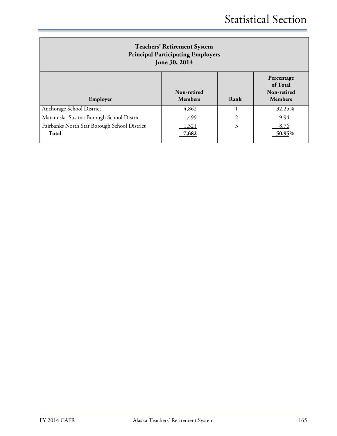| <b>Teachers' Retirement System</b><br><b>Principal Participating Employers</b><br>June 30, 2014 |                |                                                         |                |  |
|-------------------------------------------------------------------------------------------------|----------------|---------------------------------------------------------|----------------|--|
| Employer                                                                                        | Rank           | Percentage<br>of Total<br>Non-retired<br><b>Members</b> |                |  |
| Anchorage School District                                                                       | 4,862          |                                                         | 32.25%         |  |
| Matanuska-Susitna Borough School District                                                       | 1,499          | 2                                                       | 9.94           |  |
| Fairbanks North Star Borough School District<br>Total                                           | 1.321<br>7,682 | 3                                                       | 8.76<br>50.95% |  |